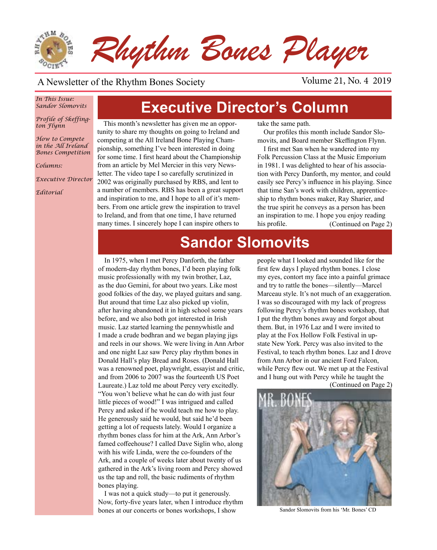

### A Newsletter of the Rhythm Bones Society Volume 21, No. 4 2019

### *In This Issue: Sandor Slomovits*

*Profile of Skeffington Flynn*

*How to Compete in the All Ireland Bones Competition*

*Columns:* 

*Executive Director*

*Editorial*

# **Executive Director's Column**

This month's newsletter has given me an opportunity to share my thoughts on going to Ireland and competing at the All Ireland Bone Playing Championship, something I've been interested in doing for some time. I first heard about the Championship from an article by Mel Mercier in this very Newsletter. The video tape I so carefully scrutinized in 2002 was originally purchased by RBS, and lent to a number of members. RBS has been a great support and inspiration to me, and I hope to all of it's members. From one article grew the inspiration to travel to Ireland, and from that one time, I have returned many times. I sincerely hope I can inspire others to

take the same path.

Our profiles this month include Sandor Slomovits, and Board member Skeffington Flynn.

I first met San when he wandered into my Folk Percussion Class at the Music Emporium in 1981. I was delighted to hear of his association with Percy Danforth, my mentor, and could easily see Percy's influence in his playing. Since that time San's work with children, apprenticeship to rhythm bones maker, Ray Sharier, and the true spirit he conveys as a person has been an inspiration to me. I hope you enjoy reading his profile. (Continued on Page 2)

# **Sandor Slomovits**

In 1975, when I met Percy Danforth, the father of modern-day rhythm bones, I'd been playing folk music professionally with my twin brother, Laz, as the duo Gemini, for about two years. Like most good folkies of the day, we played guitars and sang. But around that time Laz also picked up violin, after having abandoned it in high school some years before, and we also both got interested in Irish music. Laz started learning the pennywhistle and I made a crude bodhran and we began playing jigs and reels in our shows. We were living in Ann Arbor and one night Laz saw Percy play rhythm bones in Donald Hall's play Bread and Roses. (Donald Hall was a renowned poet, playwright, essayist and critic, and from 2006 to 2007 was the fourteenth US Poet Laureate.) Laz told me about Percy very excitedly. "You won't believe what he can do with just four little pieces of wood!" I was intrigued and called Percy and asked if he would teach me how to play. He generously said he would, but said he'd been getting a lot of requests lately. Would I organize a rhythm bones class for him at the Ark, Ann Arbor's famed coffeehouse? I called Dave Siglin who, along with his wife Linda, were the co-founders of the Ark, and a couple of weeks later about twenty of us gathered in the Ark's living room and Percy showed us the tap and roll, the basic rudiments of rhythm bones playing.

I was not a quick study—to put it generously. Now, forty-five years later, when I introduce rhythm bones at our concerts or bones workshops, I show

people what I looked and sounded like for the first few days I played rhythm bones. I close my eyes, contort my face into a painful grimace and try to rattle the bones—silently—Marcel Marceau style. It's not much of an exaggeration. I was so discouraged with my lack of progress following Percy's rhythm bones workshop, that I put the rhythm bones away and forgot about them. But, in 1976 Laz and I were invited to play at the Fox Hollow Folk Festival in upstate New York. Percy was also invited to the Festival, to teach rhythm bones. Laz and I drove from Ann Arbor in our ancient Ford Falcon, while Percy flew out. We met up at the Festival and I hung out with Percy while he taught the





Sandor Slomovits from his 'Mr. Bones' CD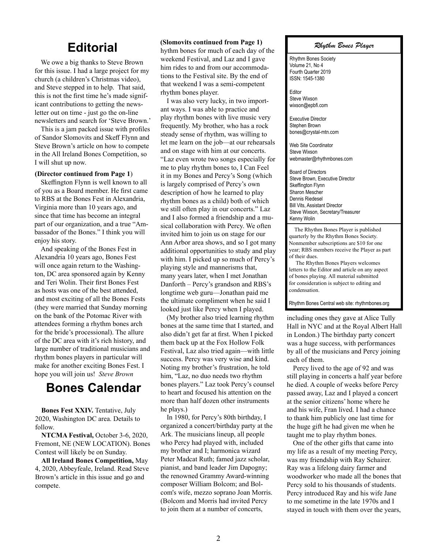## **Editorial**

We owe a big thanks to Steve Brown for this issue. I had a large project for my church (a children's Christmas video), and Steve stepped in to help. That said, this is not the first time he's made significant contributions to getting the newsletter out on time - just go the on-line newsletters and search for 'Steve Brown.'

This is a jam packed issue with profiles of Sandor Slomovits and Skeff Flynn and Steve Brown's article on how to compete in the All Ireland Bones Competition, so I will shut up now.

#### **(Director continued from Page 1**)

Skeffington Flynn is well known to all of you as a Board member. He first came to RBS at the Bones Fest in Alexandria, Virginia more than 10 years ago, and since that time has become an integral part of our organization, and a true "Ambassador of the Bones." I think you will enjoy his story.

And speaking of the Bones Fest in Alexandria 10 years ago, Bones Fest will once again return to the Washington, DC area sponsored again by Kenny and Teri Wolin. Their first Bones Fest as hosts was one of the best attended, and most exciting of all the Bones Fests (they were married that Sunday morning on the bank of the Potomac River with attendees forming a rhythm bones arch for the bride's processional). The allure of the DC area with it's rich history, and large number of traditional musicians and rhythm bones players in particular will make for another exciting Bones Fest. I hope you will join us! *Steve Brown*

### **Bones Calendar**

**Bones Fest XXIV.** Tentative, July 2020, Washington DC area. Details to follow.

**NTCMA Festival,** October 3-6, 2020, Fremont, NE (NEW LOCATION). Bones Contest will likely be on Sunday.

**All Ireland Bones Competition,** May 4, 2020, Abbeyfeale, Ireland. Read Steve Brown's article in this issue and go and compete.

### **(Slomovits continued from Page 1)**

hythm bones for much of each day of the weekend Festival, and Laz and I gave him rides to and from our accommodations to the Festival site. By the end of that weekend I was a semi-competent rhythm bones player.

I was also very lucky, in two important ways. I was able to practice and play rhythm bones with live music very frequently. My brother, who has a rock steady sense of rhythm, was willing to let me learn on the job—at our rehearsals and on stage with him at our concerts. "Laz even wrote two songs especially for me to play rhythm bones to, I Can Feel it in my Bones and Percy's Song (which is largely comprised of Percy's own description of how he learned to play rhythm bones as a child) both of which we still often play in our concerts." Laz and I also formed a friendship and a musical collaboration with Percy. We often invited him to join us on stage for our Ann Arbor area shows, and so I got many additional opportunities to study and play with him. I picked up so much of Percy's playing style and mannerisms that, many years later, when I met Jonathan Danforth – Percy's grandson and RBS's longtime web guru—Jonathan paid me the ultimate compliment when he said I looked just like Percy when I played.

(My brother also tried learning rhythm bones at the same time that I started, and also didn't get far at first. When I picked them back up at the Fox Hollow Folk Festival, Laz also tried again—with little success. Percy was very wise and kind. Noting my brother's frustration, he told him, "Laz, no duo needs two rhythm bones players." Laz took Percy's counsel to heart and focused his attention on the more than half dozen other instruments he plays.)

In 1980, for Percy's 80th birthday, I organized a concert/birthday party at the Ark. The musicians lineup, all people who Percy had played with, included my brother and I; harmonica wizard Peter Madcat Ruth; famed jazz scholar, pianist, and band leader Jim Dapogny; the renowned Grammy Award-winning composer William Bolcom; and Bolcom's wife, mezzo soprano Joan Morris. (Bolcom and Morris had invited Percy to join them at a number of concerts,

### *Rhythm Bones Player*

Rhythm Bones Society Volume 21, No 4 Fourth Quarter 2019 ISSN: 1545-1380

Editor Steve Wixson wixson@epbfi.com

Executive Director Stephen Brown bones@crystal-mtn.com

Web Site Coordinator Steve Wixson webmaster@rhythmbones.com

Board of Directors Steve Brown, Executive Director Skeffington Flynn Sharon Mescher Dennis Riedesel Bill Vits, Assistant Director Steve Wixson, Secretary/Treasurer Kenny Wolin  $\overline{a}$ 

 The Rhythm Bones Player is published quarterly by the Rhythm Bones Society. Nonmember subscriptions are \$10 for one year; RBS members receive the Player as part of their dues.

 The Rhythm Bones Players welcomes letters to the Editor and article on any aspect of bones playing. All material submitted for consideration is subject to editing and condensation.

Rhythm Bones Central web site: rhythmbones.org

including ones they gave at Alice Tully Hall in NYC and at the Royal Albert Hall in London.) The birthday party concert was a huge success, with performances by all of the musicians and Percy joining each of them.

Percy lived to the age of 92 and was still playing in concerts a half year before he died. A couple of weeks before Percy passed away, Laz and I played a concert at the senior citizens' home where he and his wife, Fran lived. I had a chance to thank him publicly one last time for the huge gift he had given me when he taught me to play rhythm bones.

One of the other gifts that came into my life as a result of my meeting Percy, was my friendship with Ray Schairer. Ray was a lifelong dairy farmer and woodworker who made all the bones that Percy sold to his thousands of students. Percy introduced Ray and his wife Jane to me sometime in the late 1970s and I stayed in touch with them over the years,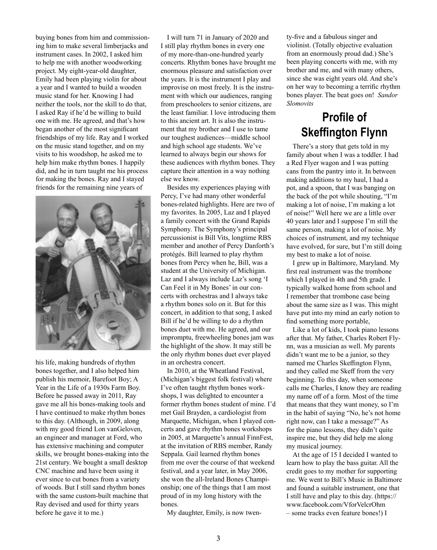buying bones from him and commissioning him to make several limberjacks and instrument cases. In 2002, I asked him to help me with another woodworking project. My eight-year-old daughter, Emily had been playing violin for about a year and I wanted to build a wooden music stand for her. Knowing I had neither the tools, nor the skill to do that, I asked Ray if he'd be willing to build one with me. He agreed, and that's how began another of the most significant friendships of my life. Ray and I worked on the music stand together, and on my visits to his woodshop, he asked me to help him make rhythm bones. I happily did, and he in turn taught me his process for making the bones. Ray and I stayed friends for the remaining nine years of



his life, making hundreds of rhythm bones together, and I also helped him publish his memoir, Barefoot Boy; A Year in the Life of a 1930s Farm Boy. Before he passed away in 2011, Ray gave me all his bones-making tools and I have continued to make rhythm bones to this day. (Although, in 2009, along with my good friend Lon vanGeloven, an engineer and manager at Ford, who has extensive machining and computer skills, we brought bones-making into the 21st century. We bought a small desktop CNC machine and have been using it ever since to cut bones from a variety of woods. But I still sand rhythm bones with the same custom-built machine that Ray devised and used for thirty years before he gave it to me.)

I will turn 71 in January of 2020 and I still play rhythm bones in every one of my more-than-one-hundred yearly concerts. Rhythm bones have brought me enormous pleasure and satisfaction over the years. It is the instrument I play and improvise on most freely. It is the instrument with which our audiences, ranging from preschoolers to senior citizens, are the least familiar. I love introducing them to this ancient art. It is also the instrument that my brother and I use to tame our toughest audiences—middle school and high school age students. We've learned to always begin our shows for these audiences with rhythm bones. They capture their attention in a way nothing else we know.

Besides my experiences playing with Percy, I've had many other wonderful bones-related highlights. Here are two of my favorites. In 2005, Laz and I played a family concert with the Grand Rapids Symphony. The Symphony's principal percussionist is Bill Vits, longtime RBS member and another of Percy Danforth's protégés. Bill learned to play rhythm bones from Percy when he, Bill, was a student at the University of Michigan. Laz and I always include Laz's song 'I Can Feel it in My Bones' in our concerts with orchestras and I always take a rhythm bones solo on it. But for this concert, in addition to that song, I asked Bill if he'd be willing to do a rhythm bones duet with me. He agreed, and our impromptu, freewheeling bones jam was the highlight of the show. It may still be the only rhythm bones duet ever played in an orchestra concert.

In 2010, at the Wheatland Festival, (Michigan's biggest folk festival) where I've often taught rhythm bones workshops, I was delighted to encounter a former rhythm bones student of mine. I'd met Gail Brayden, a cardiologist from Marquette, Michigan, when I played concerts and gave rhythm bones workshops in 2005, at Marquette's annual FinnFest, at the invitation of RBS member, Randy Seppala. Gail learned rhythm bones from me over the course of that weekend festival, and a year later, in May 2006, she won the all-Ireland Bones Championship; one of the things that I am most proud of in my long history with the bones.

My daughter, Emily, is now twen-

ty-five and a fabulous singer and violinist. (Totally objective evaluation from an enormously proud dad.) She's been playing concerts with me, with my brother and me, and with many others, since she was eight years old. And she's on her way to becoming a terrific rhythm bones player. The beat goes on! *Sandor Slomovits*

## **Profile of Skeffington Flynn**

There's a story that gets told in my family about when I was a toddler. I had a Red Flyer wagon and I was putting cans from the pantry into it. In between making additions to my haul, I had a pot, and a spoon, that I was banging on the back of the pot while shouting, "I'm making a lot of noise, I'm making a lot of noise!" Well here we are a little over 40 years later and I suppose I'm still the same person, making a lot of noise. My choices of instrument, and my technique have evolved, for sure, but I'm still doing my best to make a lot of noise.

I grew up in Baltimore, Maryland. My first real instrument was the trombone which I played in 4th and 5th grade. I typically walked home from school and I remember that trombone case being about the same size as I was. This might have put into my mind an early notion to find something more portable,

Like a lot of kids, I took piano lessons after that. My father, Charles Robert Flynn, was a musician as well. My parents didn't want me to be a junior, so they named me Charles Skeffington Flynn, and they called me Skeff from the very beginning. To this day, when someone calls me Charles, I know they are reading my name off of a form. Most of the time that means that they want money, so I'm in the habit of saying "No, he's not home right now, can I take a message?" As for the piano lessons, they didn't quite inspire me, but they did help me along my musical journey.

At the age of 15 I decided I wanted to learn how to play the bass guitar. All the credit goes to my mother for supporting me. We went to Bill's Music in Baltimore and found a suitable instrument, one that I still have and play to this day. (https:// www.facebook.com/VforVelcrOhm – some tracks even feature bones!) I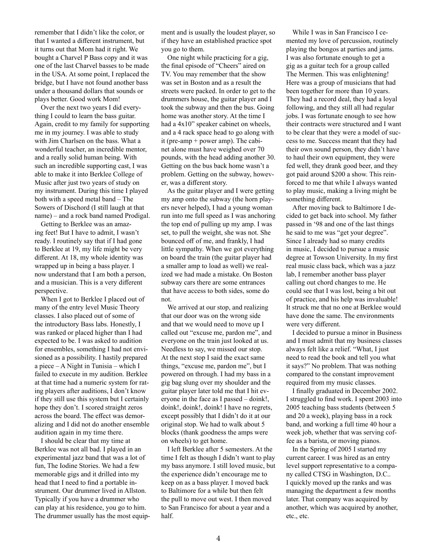remember that I didn't like the color, or that I wanted a different instrument, but it turns out that Mom had it right. We bought a Charvel P Bass copy and it was one of the last Charvel basses to be made in the USA. At some point, I replaced the bridge, but I have not found another bass under a thousand dollars that sounds or plays better. Good work Mom!

Over the next two years I did everything I could to learn the bass guitar. Again, credit to my family for supporting me in my journey. I was able to study with Jim Charlsen on the bass. What a wonderful teacher, an incredible mentor, and a really solid human being. With such an incredible supporting cast, I was able to make it into Berklee College of Music after just two years of study on my instrument. During this time I played both with a speed metal band – The Sowers of Dischord (I still laugh at that name) – and a rock band named Prodigal.

Getting to Berklee was an amazing feet! But I have to admit, I wasn't ready. I routinely say that if I had gone to Berklee at 19, my life might be very different. At 18, my whole identity was wrapped up in being a bass player. I now understand that I am both a person, and a musician. This is a very different perspective.

When I got to Berklee I placed out of many of the entry level Music Theory classes. I also placed out of some of the introductory Bass labs. Honestly, I was ranked or placed higher than I had expected to be. I was asked to audition for ensembles, something I had not envisioned as a possibility. I hastily prepared a piece – A Night in Tunisia – which I failed to execute in my audition. Berklee at that time had a numeric system for rating players after auditions, I don't know if they still use this system but I certainly hope they don't. I scored straight zeros across the board. The effect was demoralizing and I did not do another ensemble audition again in my time there.

I should be clear that my time at Berklee was not all bad. I played in an experimental jazz band that was a lot of fun, The Iodine Stories. We had a few memorable gigs and it drilled into my head that I need to find a portable instrument. Our drummer lived in Allston. Typically if you have a drummer who can play at his residence, you go to him. The drummer usually has the most equipment and is usually the loudest player, so if they have an established practice spot you go to them.

One night while practicing for a gig, the final episode of "Cheers" aired on TV. You may remember that the show was set in Boston and as a result the streets were packed. In order to get to the drummers house, the guitar player and I took the subway and then the bus. Going home was another story. At the time I had a 4x10" speaker cabinet on wheels, and a 4 rack space head to go along with it (pre-amp + power amp). The cabinet alone must have weighed over 70 pounds, with the head adding another 30. Getting on the bus back home wasn't a problem. Getting on the subway, however, was a different story.

As the guitar player and I were getting my amp onto the subway (the horn players never helped), I had a young woman run into me full speed as I was anchoring the top end of pulling up my amp. I was set, to pull the weight, she was not. She bounced off of me, and frankly, I had little sympathy. When we got everything on board the train (the guitar player had a smaller amp to load as well) we realized we had made a mistake. On Boston subway cars there are some entrances that have access to both sides, some do not.

We arrived at our stop, and realizing that our door was on the wrong side and that we would need to move up I called out "excuse me, pardon me", and everyone on the train just looked at us. Needless to say, we missed our stop. At the next stop I said the exact same things, "excuse me, pardon me", but I powered on through. I had my bass in a gig bag slung over my shoulder and the guitar player later told me that I hit everyone in the face as I passed – doink!, doink!, doink!, doink! I have no regrets, except possibly that I didn't do it at our original stop. We had to walk about 5 blocks (thank goodness the amps were on wheels) to get home.

I left Berklee after 5 semesters. At the time I felt as though I didn't want to play my bass anymore. I still loved music, but the experience didn't encourage me to keep on as a bass player. I moved back to Baltimore for a while but then felt the pull to move out west. I then moved to San Francisco for about a year and a half.

While I was in San Francisco I cemented my love of percussion, routinely playing the bongos at parties and jams. I was also fortunate enough to get a gig as a guitar tech for a group called The Mermen. This was enlightening! Here was a group of musicians that had been together for more than 10 years. They had a record deal, they had a loyal following, and they still all had regular jobs. I was fortunate enough to see how their contracts were structured and I want to be clear that they were a model of success to me. Success meant that they had their own sound person, they didn't have to haul their own equipment, they were fed well, they drank good beer, and they got paid around \$200 a show. This reinforced to me that while I always wanted to play music, making a living might be something different.

After moving back to Baltimore I decided to get back into school. My father passed in '98 and one of the last things he said to me was "get your degree". Since I already had so many credits in music, I decided to pursue a music degree at Towson University. In my first real music class back, which was a jazz lab, I remember another bass player calling out chord changes to me. He could see that I was lost, being a bit out of practice, and his help was invaluable! It struck me that no one at Berklee would have done the same. The environments were very different.

I decided to pursue a minor in Business and I must admit that my business classes always felt like a relief. "What, I just need to read the book and tell you what it says?" No problem. That was nothing compared to the constant improvement required from my music classes.

I finally graduated in December 2002. I struggled to find work. I spent 2003 into 2005 teaching bass students (between 5 and 20 a week), playing bass in a rock band, and working a full time 40 hour a week job, whether that was serving coffee as a barista, or moving pianos.

In the Spring of 2005 I started my current career. I was hired as an entry level support representative to a company called CTSG in Washington, D.C.. I quickly moved up the ranks and was managing the department a few months later. That company was acquired by another, which was acquired by another, etc., etc.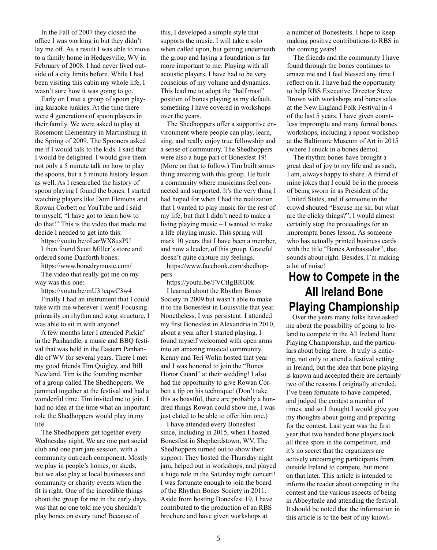In the Fall of 2007 they closed the office I was working in but they didn't lay me off. As a result I was able to move to a family home in Hedgesville, WV in February of 2008. I had never lived outside of a city limits before. While I had been visiting this cabin my whole life, I wasn't sure how it was going to go.

Early on I met a group of spoon playing karaoke junkies. At the time there were 4 generations of spoon players in their family. We were asked to play at Rosemont Elementary in Martinsburg in the Spring of 2009. The Spooners asked me if I would talk to the kids. I said that I would be delighted. I would give them not only a 5 minute talk on how to play the spoons, but a 5 minute history lesson as well. As I researched the history of spoon playing I found the bones. I started watching players like Dom Flemons and Rowan Corbett on YouTube and I said to myself, "I have got to learn how to do that!" This is the video that made me decide I needed to get into this:

https://youtu.be/oLazWX8uxPU

I then found Scott Miller's store and ordered some Danforth bones:

https://www.bonedrymusic.com/ The video that really got me on my way was this one:

https://youtu.be/mU31eqwC3w4

Finally I had an instrument that I could take with me wherever I went! Focusing primarily on rhythm and song structure, I was able to sit in with anyone!

A few months later I attended Pickin' in the Panhandle, a music and BBQ festival that was held in the Eastern Panhandle of WV for several years. There I met my good friends Tim Quigley, and Bill Newland. Tim is the founding member of a group called The Shedhoppers. We jammed together at the festival and had a wonderful time. Tim invited me to join. I had no idea at the time what an important role the Shedhoppers would play in my life.

The Shedhoppers get together every Wednesday night. We are one part social club and one part jam session, with a community outreach component. Mostly we play in people's homes, or sheds, but we also play at local businesses and community or charity events when the fit is right. One of the incredible things about the group for me in the early days was that no one told me you shouldn't play bones on every tune! Because of

this, I developed a simple style that supports the music. I will take a solo when called upon, but getting underneath the group and laying a foundation is far more important to me. Playing with all acoustic players, I have had to be very conscious of my volume and dynamics. This lead me to adopt the "half mast" position of bones playing as my default, something I have covered in workshops over the years.

The Shedhoppers offer a supportive environment where people can play, learn, sing, and really enjoy true fellowship and a sense of community. The Shedhoppers were also a huge part of Bonesfest 19! (More on that to follow.) Tim built something amazing with this group. He built a community where musicians feel connected and supported. It's the very thing I had hoped for when I had the realization that I wanted to play music for the rest of my life, but that I didn't need to make a living playing music – I wanted to make a life playing music. This spring will mark 10 years that I have been a member, and now a leader, of this group. Grateful doesn't quite capture my feelings.

https://www.facebook.com/shedhoppers

https://youtu.be/FVCtIgBRO0k I learned about the Rhythm Bones Society in 2009 but wasn't able to make it to the Bonesfest in Louisville that year. Nonetheless, I was persistent. I attended my first Bonesfest in Alexandria in 2010, about a year after I started playing. I found myself welcomed with open arms into an amazing musical community. Kenny and Teri Wolin hosted that year and I was honored to join the "Bones Honor Guard" at their wedding! I also had the opportunity to give Rowan Corbett a tip on his technique! (Don't take this as boastful, there are probably a hundred things Rowan could show me, I was just elated to be able to offer him one.)

I have attended every Bonesfest since, including in 2015, when I hosted Bonesfest in Shepherdstown, WV. The Shedhoppers turned out to show their support. They hosted the Thursday night jam, helped out in workshops, and played a huge role in the Saturday night concert! I was fortunate enough to join the board of the Rhythm Bones Society in 2011. Aside from hosting Bonesfest 19, I have contributed to the production of an RBS brochure and have given workshops at

a number of Bonesfests. I hope to keep making positive contributions to RBS in the coming years!

The friends and the community I have found through the bones continues to amaze me and I feel blessed any time I reflect on it. I have had the opportunity to help RBS Executive Director Steve Brown with workshops and bones sales at the New England Folk Festival in 4 of the last 5 years. I have given countless impromptu and many formal bones workshops, including a spoon workshop at the Baltimore Museum of Art in 2015 (where I snuck in a bones demo).

The rhythm bones have brought a great deal of joy to my life and as such, I am, always happy to share. A friend of mine jokes that I could be in the process of being sworn in as President of the United States, and if someone in the crowd shouted "Excuse me sir, but what are the clicky things?", I would almost certainly stop the proceedings for an impromptu bones lesson. As someone who has actually printed business cards with the title "Bones Ambassador", that sounds about right. Besides, I'm making a lot of noise!

# **How to Compete in the All Ireland Bone Playing Championship**

Over the years many folks have asked me about the possibility of going to Ireland to compete in the All Ireland Bone Playing Championship, and the particulars about being there. It truly is enticing, not only to attend a festival setting in Ireland, but the idea that bone playing is known and accepted there are certainly two of the reasons I originally attended. I've been fortunate to have competed, and judged the contest a number of times, and so I thought I would give you my thoughts about going and preparing for the contest. Last year was the first year that two handed bone players took all three spots in the competition, and it's no secret that the organizers are actively encouraging participants from outside Ireland to compete, but more on that later. This article is intended to inform the reader about competing in the contest and the various aspects of being in Abbeyfeale and attending the festival. It should be noted that the information in this article is to the best of my knowl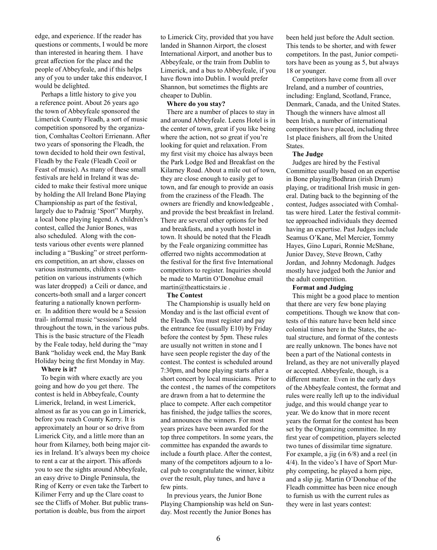edge, and experience. If the reader has questions or comments, I would be more than interested in hearing them. I have great affection for the place and the people of Abbeyfeale, and if this helps any of you to under take this endeavor, I would be delighted.

Perhaps a little history to give you a reference point. About 26 years ago the town of Abbeyfeale sponsored the Limerick County Fleadh, a sort of music competition sponsored by the organization, Comhaltas Ceoltori Errienann. After two years of sponsoring the Fleadh, the town decided to hold their own festival, Fleadh by the Feale (Fleadh Ceoil or Feast of music). As many of these small festivals are held in Ireland it was decided to make their festival more unique by holding the All Ireland Bone Playing Championship as part of the festival, largely due to Padraig 'Sport" Murphy, a local bone playing legend. A children's contest, called the Junior Bones, was also scheduled. Along with the contests various other events were planned including a "Busking" or street performers competition, an art show, classes on various instruments, children s competition on various instruments (which was later dropped) a Ceili or dance, and concerts-both small and a larger concert featuring a nationally known performer. In addition there would be a Session trail- informal music "sessions" held throughout the town, in the various pubs. This is the basic structure of the Fleadh by the Feale today, held during the "may Bank "holiday week end, the May Bank Holiday being the first Monday in May.

### **Where is it?**

To begin with where exactly are you going and how do you get there. The contest is held in Abbeyfeale, County Limerick, Ireland, in west Limerick, almost as far as you can go in Limerick, before you reach County Kerry. It is approximately an hour or so drive from Limerick City, and a little more than an hour from Kilarney, both being major cities in Ireland. It's always been my choice to rent a car at the airport. This affords you to see the sights around Abbeyfeale, an easy drive to Dingle Peninsula, the Ring of Kerry or even take the Tarbert to Kilimer Ferry and up the Clare coast to see the Cliffs of Moher. But public transportation is doable, bus from the airport

to Limerick City, provided that you have landed in Shannon Airport, the closest International Airport, and another bus to Abbeyfeale, or the train from Dublin to Limerick, and a bus to Abbeyfeale, if you have flown into Dublin. I would prefer Shannon, but sometimes the flights are cheaper to Dublin.

### **Where do you stay?**

There are a number of places to stay in and around Abbeyfeale. Leens Hotel is in the center of town, great if you like being where the action, not so great if you're looking for quiet and relaxation. From my first visit my choice has always been the Park Lodge Bed and Breakfast on the Kilarney Road. About a mile out of town, they are close enough to easily get to town, and far enough to provide an oasis from the craziness of the Fleadh. The owners are friendly and knowledgeable , and provide the best breakfast in Ireland. There are several other options for bed and breakfasts, and a youth hostel in town. It should be noted that the Fleadh by the Feale organizing committee has offerred two nights accommodation at the festival for the first five International competitors to register. Inquiries should be made to Martin O'Donohue email martin@theatticstairs.ie .

### **The Contest**

The Championship is usually held on Monday and is the last official event of the Fleadh. You must register and pay the entrance fee (usually E10) by Friday before the contest by 5pm. These rules are usually not written in stone and I have seen people register the day of the contest. The contest is scheduled around 7:30pm, and bone playing starts after a short concert by local musicians. Prior to the contest , the names of the competitors are drawn from a hat to determine the place to compete. After each competitor has finished, the judge tallies the scores, and announces the winners. For most years prizes have been awarded for the top three competitors. In some years, the committee has expanded the awards to include a fourth place. After the contest, many of the competitors adjourn to a local pub to congratulate the winner, kibitz over the result, play tunes, and have a few pints.

In previous years, the Junior Bone Playing Championship was held on Sunday. Most recently the Junior Bones has

been held just before the Adult section. This tends to be shorter, and with fewer competitors. In the past, Junior competitors have been as young as 5, but always 18 or younger.

Competitors have come from all over Ireland, and a number of countries, including: England, Scotland, France, Denmark, Canada, and the United States. Though the winners have almost all been Irish, a number of international competitors have placed, including three 1st place finishers, all from the United States.

### **The Judge**

Judges are hired by the Festival Committee usually based on an expertise in Bone playing/Bodhran (irish Drum) playing, or traditional Irish music in general. Dating back to the beginning of the contest, Judges associated with Comhaltas were hired. Later the festival committee approached individuals they deemed having an expertise. Past Judges include Seamus O'Kane, Mel Mercier, Tommy Hayes, Gino Lupari, Ronnie McShane, Junior Davey, Steve Brown, Cathy Jordan, and Johnny Mcdonagh. Judges mostly have judged both the Junior and the adult competition.

#### **Format and Judging**

This might be a good place to mention that there are very few bone playing competitions. Though we know that contests of this nature have been held since colonial times here in the States, the actual structure, and format of the contests are really unknown. The bones have not been a part of the National contests in Ireland, as they are not univerally played or accepted. Abbeyfeale, though, is a different matter. Even in the early days of the Abbeyfeale contest, the format and rules were really left up to the individual judge, and this would change year to year. We do know that in more recent years the format for the contest has been set by the Organizing committee. In my first year of competition, players selected two tunes of dissimilar time signature. For example, a jig (in 6/8) and a reel (in 4/4). In the video's I have of Sport Murphy competing, he played a horn pipe, and a slip jig. Martin O'Donohue of the Fleadh committee has been nice enough to furnish us with the current rules as they were in last years contest: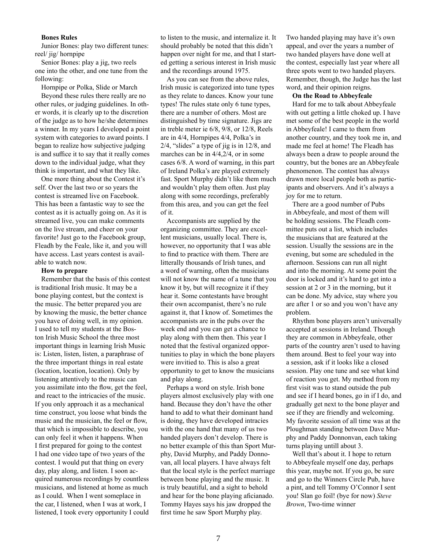### **Bones Rules**

Junior Bones: play two different tunes: reel/ jig/ hornpipe

Senior Bones: play a jig, two reels one into the other, and one tune from the following:

Hornpipe or Polka, Slide or March

Beyond these rules there really are no other rules, or judging guidelines. In other words, it is clearly up to the discretion of the judge as to how he/she determines a winner. In my years I developed a point system with categories to award points. I began to realize how subjective judging is and suffice it to say that it really comes down to the individual judge, what they think is important, and what they like.

One more thing about the Contest it's self. Over the last two or so years the contest is streamed live on Facebook. This has been a fantastic way to see the contest as it is actually going on. As it is streamed live, you can make comments on the live stream, and cheer on your favorite! Just go to the Facebook group, Fleadh by the Feale, like it, and you will have access. Last years contest is available to watch now.

### **How to prepare**

Remember that the basis of this contest is traditional Irish music. It may be a bone playing contest, but the context is the music. The better prepared you are by knowing the music, the better chance you have of doing well, in my opinion. I used to tell my students at the Boston Irish Music School the three most important things in learning Irish Music is: Listen, listen, listen, a paraphrase of the three important things in real estate (location, location, location). Only by listening attentively to the music can you assimilate into the flow, get the feel, and react to the intricacies of the music. If you only approach it as a mechanical time construct, you loose what binds the music and the musician, the feel or flow, that which is impossible to describe, you can only feel it when it happens. When I first prepared for going to the contest I had one video tape of two years of the contest. I would put that thing on every day, play along, and listen. I soon acquired numerous recordings by countless musicians, and listened at home as much as I could. When I went someplace in the car, I listened, when I was at work, I listened, I took every opportunity I could

to listen to the music, and internalize it. It should probably be noted that this didn't happen over night for me, and that I started getting a serious interest in Irish music and the recordings around 1975.

As you can see from the above rules, Irish music is categorized into tune types as they relate to dances. Know your tune types! The rules state only 6 tune types, there are a number of others. Most are distinguished by time signature. Jigs are in treble meter ie 6/8, 9/8, or 12/8, Reels are in 4/4, Hornpipes 4/4, Polka's in 2/4, "slides" a type of jig is in 12/8, and marches can be in 4/4,2/4, or in some cases 6/8. A word of warning, in this part of Ireland Polka's are played extremely fast. Sport Murphy didn't like them much and wouldn't play them often. Just play along with some recordings, preferably from this area, and you can get the feel of it.

Accompanists are supplied by the organizing committee. They are excellent musicians, usually local. There is, however, no opportunity that I was able to find to practice with them. There are litterally thousands of Irish tunes, and a word of warning, often the musicians will not know the name of a tune that you know it by, but will recognize it if they hear it. Some contestants have brought their own accompanist, there's no rule against it, that I know of. Sometimes the accompanists are in the pubs over the week end and you can get a chance to play along with them then. This year I noted that the festival organized opportunities to play in which the bone players were invitied to. This is also a great opportunity to get to know the musicians and play along.

Perhaps a word on style. Irish bone players almost exclusively play with one hand. Because they don't have the other hand to add to what their dominant hand is doing, they have developed intracies with the one hand that many of us two handed players don't develop. There is no better example of this than Sport Murphy, David Murphy, and Paddy Donnovan, all local players. I have always felt that the local style is the perfect marriage between bone playing and the music. It is truly beautiful, and a sight to behold and hear for the bone playing aficianado. Tommy Hayes says his jaw dropped the first time he saw Sport Murphy play.

Two handed playing may have it's own appeal, and over the years a number of two handed players have done well at the contest, especially last year where all three spots went to two handed players. Remember, though, the Judge has the last word, and their opinion reigns.

### **On the Road to Abbeyfeale**

Hard for me to talk about Abbeyfeale with out getting a little choked up. I have met some of the best people in the world in Abbeyfeale! I came to them from another country, and they took me in, and made me feel at home! The Fleadh has always been a draw to people around the country, but the bones are an Abbeyfeale phenomenon. The contest has always drawn more local people both as participants and observers. And it's always a joy for me to return.

There are a good number of Pubs in Abbeyfeale, and most of them will be holding sessions. The Fleadh committee puts out a list, which includes the musicians that are featured at the session. Usually the sessions are in the evening, but some are scheduled in the afternoon. Sessions can run all night and into the morning. At some point the door is locked and it's hard to get into a session at 2 or 3 in the morning, but it can be done. My advice, stay where you are after 1 or so and you won't have any problem.

Rhythm bone players aren't universally accepted at sessions in Ireland. Though they are common in Abbeyfeale, other parts of the country aren't used to having them around. Best to feel your way into a session, ask if it looks like a closed session. Play one tune and see what kind of reaction you get. My method from my first visit was to stand outside the pub and see if I heard bones, go in if I do, and gradually get next to the bone player and see if they are friendly and welcoming. My favorite session of all time was at the Ploughman standing between Dave Murphy and Paddy Donnonvan, each taking turns playing untill about 3.

Well that's about it. I hope to return to Abbeyfeale myself one day, perhaps this year, maybe not. If you go, be sure and go to the Winners Circle Pub, have a pint, and tell Tommy O'Connor I sent you! Slan go foil! (bye for now) *Steve Brown*, Two-time winner